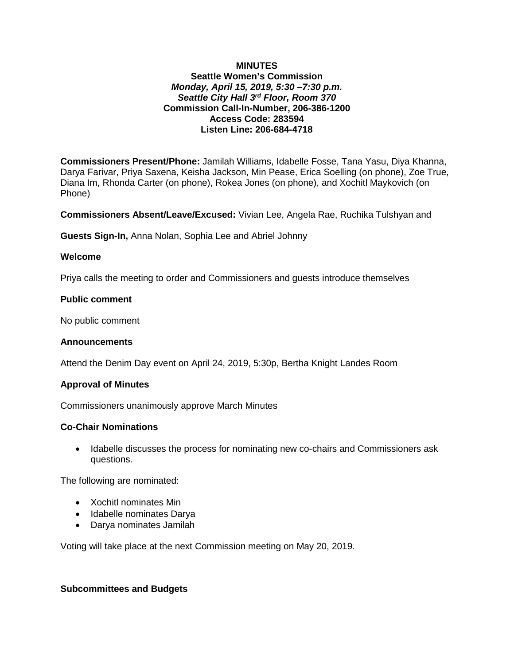## **MINUTES Seattle Women's Commission** *Monday, April 15, 2019, 5:30 –7:30 p.m. Seattle City Hall 3rd Floor, Room 370* **Commission Call-In-Number, 206-386-1200 Access Code: 283594 Listen Line: 206-684-4718**

**Commissioners Present/Phone:** Jamilah Williams, Idabelle Fosse, Tana Yasu, Diya Khanna, Darya Farivar, Priya Saxena, Keisha Jackson, Min Pease, Erica Soelling (on phone), Zoe True, Diana Im, Rhonda Carter (on phone), Rokea Jones (on phone), and Xochitl Maykovich (on Phone)

**Commissioners Absent/Leave/Excused:** Vivian Lee, Angela Rae, Ruchika Tulshyan and

**Guests Sign-In,** Anna Nolan, Sophia Lee and Abriel Johnny

### **Welcome**

Priya calls the meeting to order and Commissioners and guests introduce themselves

### **Public comment**

No public comment

#### **Announcements**

Attend the Denim Day event on April 24, 2019, 5:30p, Bertha Knight Landes Room

## **Approval of Minutes**

Commissioners unanimously approve March Minutes

#### **Co-Chair Nominations**

• Idabelle discusses the process for nominating new co-chairs and Commissioners ask questions.

The following are nominated:

- Xochitl nominates Min
- Idabelle nominates Darya
- Darya nominates Jamilah

Voting will take place at the next Commission meeting on May 20, 2019.

### **Subcommittees and Budgets**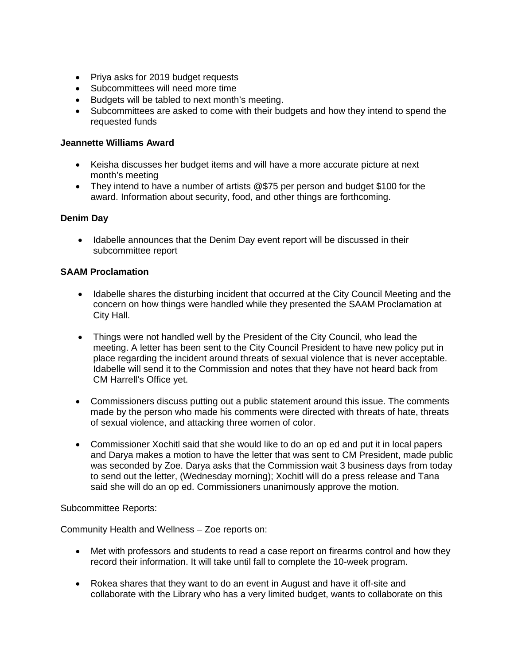- Priya asks for 2019 budget requests
- Subcommittees will need more time
- Budgets will be tabled to next month's meeting.
- Subcommittees are asked to come with their budgets and how they intend to spend the requested funds

# **Jeannette Williams Award**

- Keisha discusses her budget items and will have a more accurate picture at next month's meeting
- They intend to have a number of artists @\$75 per person and budget \$100 for the award. Information about security, food, and other things are forthcoming.

# **Denim Day**

• Idabelle announces that the Denim Day event report will be discussed in their subcommittee report

# **SAAM Proclamation**

- Idabelle shares the disturbing incident that occurred at the City Council Meeting and the concern on how things were handled while they presented the SAAM Proclamation at City Hall.
- Things were not handled well by the President of the City Council, who lead the meeting. A letter has been sent to the City Council President to have new policy put in place regarding the incident around threats of sexual violence that is never acceptable. Idabelle will send it to the Commission and notes that they have not heard back from CM Harrell's Office yet.
- Commissioners discuss putting out a public statement around this issue. The comments made by the person who made his comments were directed with threats of hate, threats of sexual violence, and attacking three women of color.
- Commissioner Xochitl said that she would like to do an op ed and put it in local papers and Darya makes a motion to have the letter that was sent to CM President, made public was seconded by Zoe. Darya asks that the Commission wait 3 business days from today to send out the letter, (Wednesday morning); Xochitl will do a press release and Tana said she will do an op ed. Commissioners unanimously approve the motion.

## Subcommittee Reports:

Community Health and Wellness – Zoe reports on:

- Met with professors and students to read a case report on firearms control and how they record their information. It will take until fall to complete the 10-week program.
- Rokea shares that they want to do an event in August and have it off-site and collaborate with the Library who has a very limited budget, wants to collaborate on this